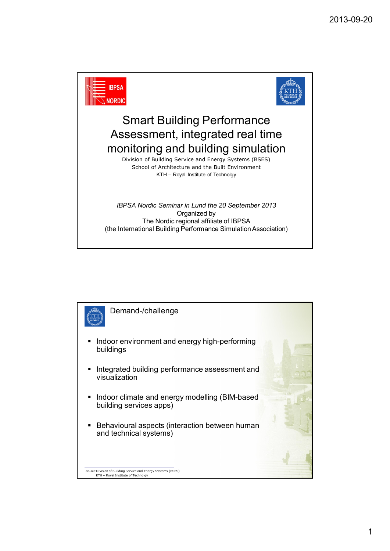

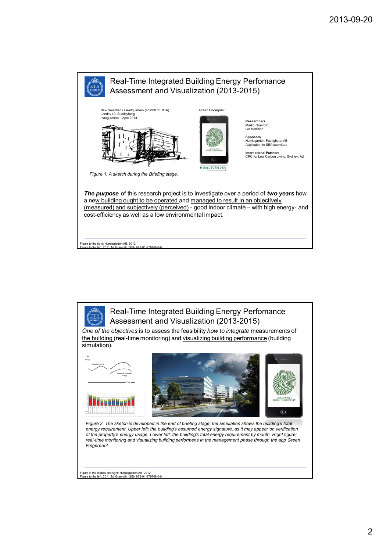

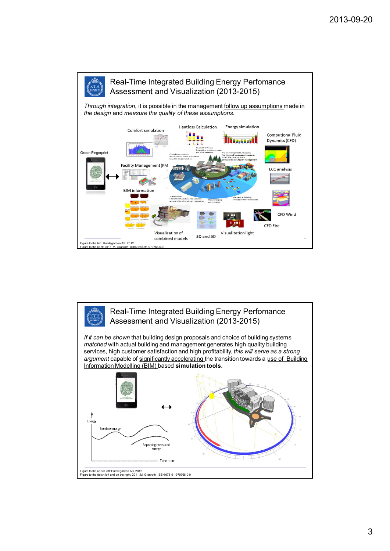

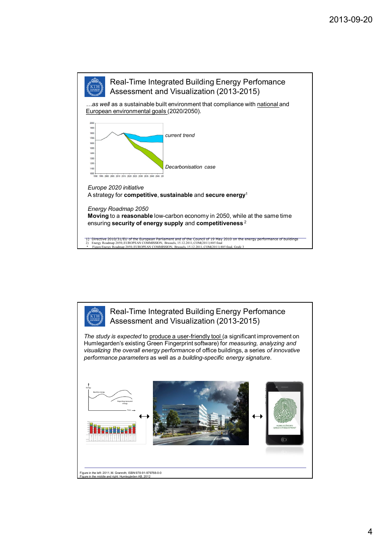